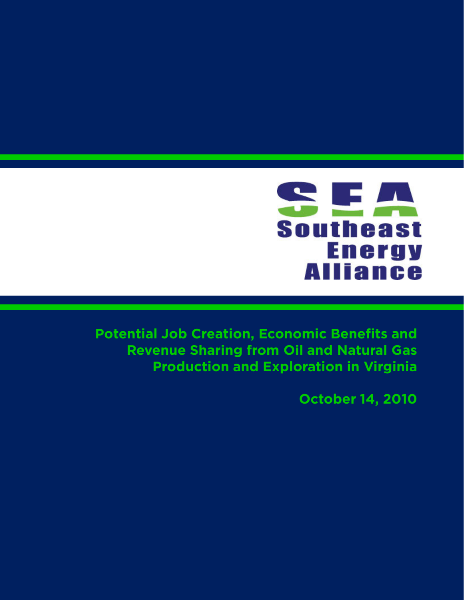

**Potential Job Creation, Economic Benefits and Revenue Sharing from Oil and Natural Gas Production and Exploration in Virginia**

**October 14, 2010**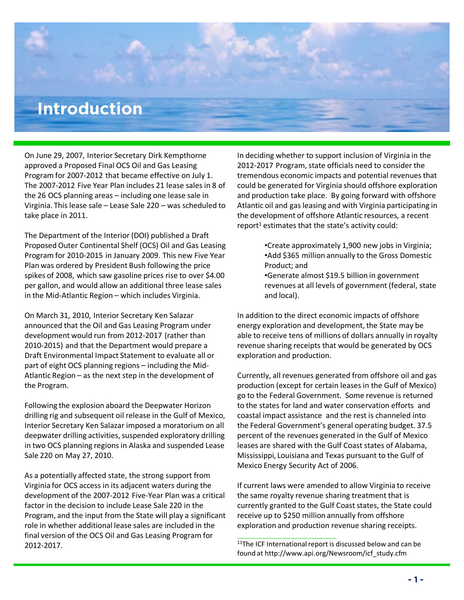## **Introduction**

On June 29, 2007, Interior Secretary Dirk Kempthorne approved a Proposed Final OCS Oil and Gas Leasing Program for 2007-2012 that became effective on July 1. The 2007-2012 Five Year Plan includes 21 lease sales in 8 of the 26 OCS planning areas – including one lease sale in Virginia. This lease sale – Lease Sale 220 – was scheduled to take place in 2011.

The Department of the Interior (DOI) published a Draft Proposed Outer Continental Shelf (OCS) Oil and Gas Leasing Program for 2010-2015 in January 2009. This new Five Year Plan was ordered by President Bush following the price spikes of 2008, which saw gasoline prices rise to over \$4.00 per gallon, and would allow an additional three lease sales in the Mid-Atlantic Region – which includes Virginia.

On March 31, 2010, Interior Secretary Ken Salazar announced that the Oil and Gas Leasing Program under development would run from 2012-2017 (rather than 2010-2015) and that the Department would prepare a Draft Environmental Impact Statement to evaluate all or part of eight OCS planning regions – including the Mid-Atlantic Region – as the next step in the development of the Program.

Following the explosion aboard the Deepwater Horizon drilling rig and subsequent oil release in the Gulf of Mexico, Interior Secretary Ken Salazar imposed a moratorium on all deepwater drilling activities, suspended exploratory drilling in two OCS planning regions in Alaska and suspended Lease Sale 220 on May 27, 2010.

As a potentially affected state, the strong support from Virginia for OCS access in its adjacent waters during the development of the 2007-2012 Five-Year Plan was a critical factor in the decision to include Lease Sale 220 in the Program, and the input from the State will play a significant role in whether additional lease sales are included in the final version of the OCS Oil and Gas Leasing Program for 2012-2017.

In deciding whether to support inclusion of Virginia in the 2012-2017 Program, state officials need to consider the tremendous economic impacts and potential revenues that could be generated for Virginia should offshore exploration and production take place. By going forward with offshore Atlantic oil and gas leasing and with Virginia participating in the development of offshore Atlantic resources, a recent report<sup>1</sup> estimates that the state's activity could:

- •Create approximately 1,900 new jobs in Virginia; •Add \$365 million annually to the Gross Domestic Product; and
- •Generate almost \$19.5 billion in government revenues at all levels of government (federal, state and local).

In addition to the direct economic impacts of offshore energy exploration and development, the State may be able to receive tens of millions of dollars annually in royalty revenue sharing receipts that would be generated by OCS exploration and production.

Currently, all revenues generated from offshore oil and gas production (except for certain leases in the Gulf of Mexico) go to the Federal Government. Some revenue is returned to the states for land and water conservation efforts and coastal impact assistance and the rest is channeled into the Federal Government's general operating budget. 37.5 percent of the revenues generated in the Gulf of Mexico leases are shared with the Gulf Coast states of Alabama, Mississippi, Louisiana and Texas pursuant to the Gulf of Mexico Energy Security Act of 2006.

If current laws were amended to allow Virginia to receive the same royalty revenue sharing treatment that is currently granted to the Gulf Coast states, the State could receive up to \$250 million annually from offshore exploration and production revenue sharing receipts.

\_\_\_\_\_\_\_\_\_\_\_\_\_\_\_\_\_\_\_\_\_\_\_\_\_\_

<sup>&</sup>lt;sup>11</sup>The ICF International report is discussed below and can be found at http://www.api.org/Newsroom/icf\_study.cfm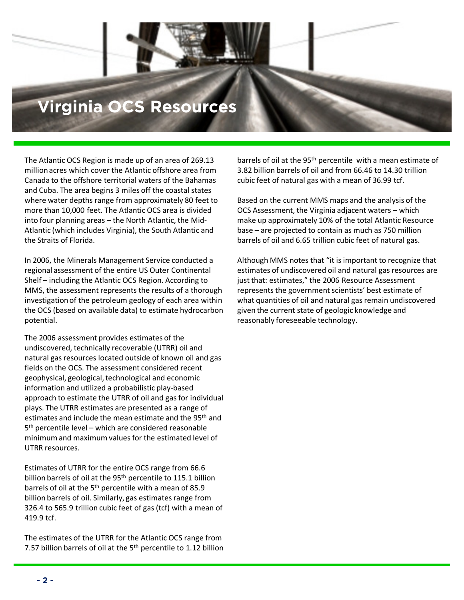## **International Pack Virginia OCS Resources**

The Atlantic OCS Region is made up of an area of 269.13 million acres which cover the Atlantic offshore area from Canada to the offshore territorial waters of the Bahamas and Cuba. The area begins 3 miles off the coastal states where water depths range from approximately 80 feet to more than 10,000 feet. The Atlantic OCS area is divided into four planning areas – the North Atlantic, the Mid-Atlantic (which includes Virginia), the South Atlantic and the Straits of Florida.

In 2006, the Minerals Management Service conducted a regional assessment of the entire US Outer Continental Shelf – including the Atlantic OCS Region. According to MMS, the assessment represents the results of a thorough investigation of the petroleum geology of each area within the OCS (based on available data) to estimate hydrocarbon potential.

The 2006 assessment provides estimates of the undiscovered, technically recoverable (UTRR) oil and natural gas resources located outside of known oil and gas fields on the OCS. The assessment considered recent geophysical, geological, technological and economic information and utilized a probabilistic play-based approach to estimate the UTRR of oil and gas for individual plays. The UTRR estimates are presented as a range of estimates and include the mean estimate and the 95<sup>th</sup> and 5<sup>th</sup> percentile level – which are considered reasonable minimum and maximum values for the estimated level of UTRR resources.

Estimates of UTRR for the entire OCS range from 66.6 billion barrels of oil at the 95<sup>th</sup> percentile to 115.1 billion barrels of oil at the 5<sup>th</sup> percentile with a mean of 85.9 billion barrels of oil. Similarly, gas estimates range from 326.4 to 565.9 trillion cubic feet of gas (tcf) with a mean of 419.9 tcf.

The estimates of the UTRR for the Atlantic OCS range from 7.57 billion barrels of oil at the  $5<sup>th</sup>$  percentile to 1.12 billion barrels of oil at the 95<sup>th</sup> percentile with a mean estimate of 3.82 billion barrels of oil and from 66.46 to 14.30 trillion cubic feet of natural gas with a mean of 36.99 tcf.

Based on the current MMS maps and the analysis of the OCS Assessment, the Virginia adjacent waters – which make up approximately 10% of the total Atlantic Resource base – are projected to contain as much as 750 million barrels of oil and 6.65 trillion cubic feet of natural gas.

Although MMS notes that "it is important to recognize that estimates of undiscovered oil and natural gas resources are just that: estimates," the 2006 Resource Assessment represents the government scientists' best estimate of what quantities of oil and natural gas remain undiscovered given the current state of geologic knowledge and reasonably foreseeable technology.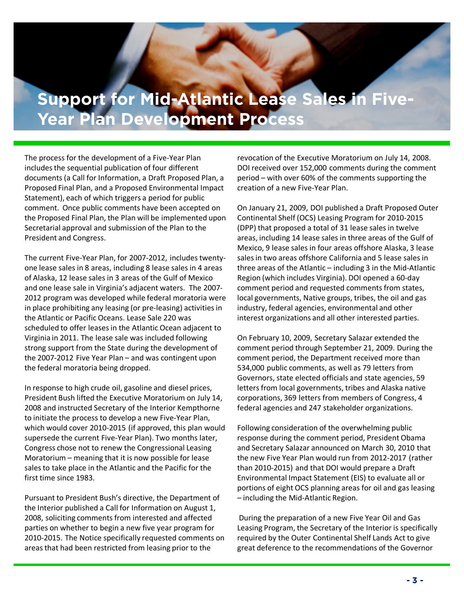### **Support for Mid-A Support for Mid-Atlantic Lease Sales in Five-<br>Vear Plan Development Process Year Plan Development Process**

The process for the development of a Five-Year Plan includes the sequential publication of four different documents (a Call for Information, a Draft Proposed Plan, a Proposed Final Plan, and a Proposed Environmental Impact Statement), each of which triggers a period for public comment. Once public comments have been accepted on the Proposed Final Plan, the Plan will be implemented upon Secretarial approval and submission of the Plan to the President and Congress.

The current Five-Year Plan, for 2007-2012, includes twentyone lease sales in 8 areas, including 8 lease sales in 4 areas of Alaska, 12 lease sales in 3 areas of the Gulf of Mexico and one lease sale in Virginia's adjacent waters. The 2007- 2012 program was developed while federal moratoria were in place prohibiting any leasing (or pre-leasing) activities in the Atlantic or Pacific Oceans. Lease Sale 220 was scheduled to offer leases in the Atlantic Ocean adjacent to Virginia in 2011. The lease sale was included following strong support from the State during the development of the 2007-2012 Five Year Plan – and was contingent upon the federal moratoria being dropped.

In response to high crude oil, gasoline and diesel prices, President Bush lifted the Executive Moratorium on July 14, 2008 and instructed Secretary of the Interior Kempthorne to initiate the process to develop a new Five-Year Plan, which would cover 2010-2015 (if approved, this plan would supersede the current Five-Year Plan). Two months later, Congress chose not to renew the Congressional Leasing Moratorium – meaning that it is now possible for lease sales to take place in the Atlantic and the Pacific for the first time since 1983.

Pursuant to President Bush's directive, the Department of the Interior published a Call for Information on August 1, 2008, soliciting comments from interested and affected parties on whether to begin a new five year program for 2010-2015. The Notice specifically requested comments on areas that had been restricted from leasing prior to the

revocation of the Executive Moratorium on July 14, 2008. DOI received over 152,000 comments during the comment period – with over 60% of the comments supporting the creation of a new Five-Year Plan.

On January 21, 2009, DOI published a Draft Proposed Outer Continental Shelf (OCS) Leasing Program for 2010-2015 (DPP) that proposed a total of 31 lease sales in twelve areas, including 14 lease sales in three areas of the Gulf of Mexico, 9 lease sales in four areas offshore Alaska, 3 lease sales in two areas offshore California and 5 lease sales in three areas of the Atlantic – including 3 in the Mid-Atlantic Region (which includes Virginia). DOI opened a 60-day comment period and requested comments from states, local governments, Native groups, tribes, the oil and gas industry, federal agencies, environmental and other interest organizations and all other interested parties.

On February 10, 2009, Secretary Salazar extended the comment period through September 21, 2009. During the comment period, the Department received more than 534,000 public comments, as well as 79 letters from Governors, state elected officials and state agencies, 59 letters from local governments, tribes and Alaska native corporations, 369 letters from members of Congress, 4 federal agencies and 247 stakeholder organizations.

Following consideration of the overwhelming public response during the comment period, President Obama and Secretary Salazar announced on March 30, 2010 that the new Five Year Plan would run from 2012-2017 (rather than 2010-2015) and that DOI would prepare a Draft Environmental Impact Statement (EIS) to evaluate all or portions of eight OCS planning areas for oil and gas leasing – including the Mid-Atlantic Region.

During the preparation of a new Five Year Oil and Gas Leasing Program, the Secretary of the Interior is specifically required by the Outer Continental Shelf Lands Act to give great deference to the recommendations of the Governor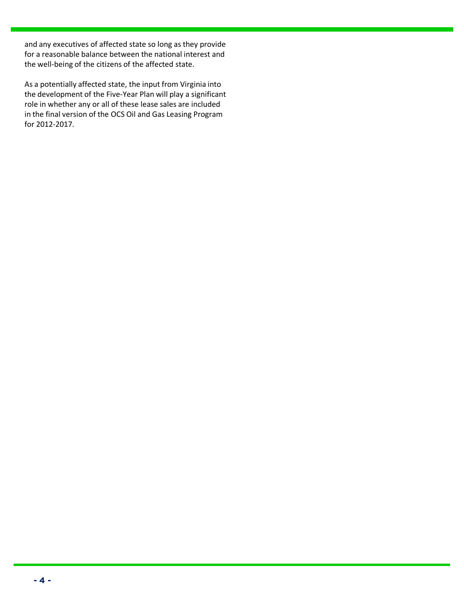and any executives of affected state so long as they provide for a reasonable balance between the national interest and the well-being of the citizens of the affected state.

As a potentially affected state, the input from virginia lifts<br>the development of the Five-Year Plan will play a significant<br>role in whether any or all of these lease sales are included As a potentially affected state, the input from Virginia into role in whether any or all of these lease sales are included in the final version of the OCS Oil and Gas Leasing Program for 2012-2017.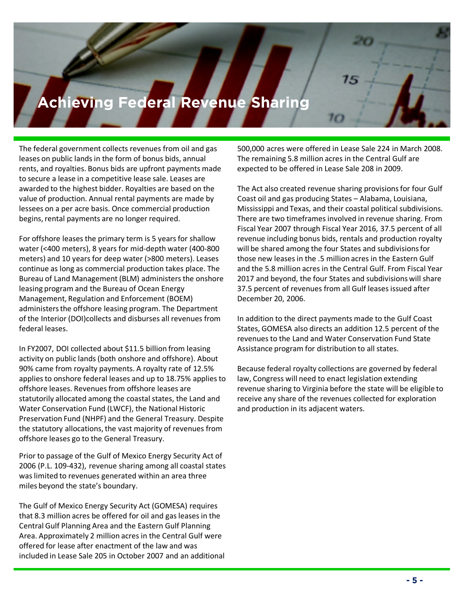## *<u>Achieving Federal P</u>* **Achieving Federal Revenue Sharing**

The federal government collects revenues from oil and gas leases on public lands in the form of bonus bids, annual rents, and royalties. Bonus bids are upfront payments made to secure a lease in a competitive lease sale. Leases are awarded to the highest bidder. Royalties are based on the value of production. Annual rental payments are made by lessees on a per acre basis. Once commercial production begins, rental payments are no longer required.

For offshore leases the primary term is 5 years for shallow water (<400 meters), 8 years for mid-depth water (400-800 meters) and 10 years for deep water (>800 meters). Leases continue as long as commercial production takes place. The Bureau of Land Management (BLM) administers the onshore leasing program and the Bureau of Ocean Energy Management, Regulation and Enforcement (BOEM) administers the offshore leasing program. The Department of the Interior (DOI)collects and disburses all revenues from federal leases.

In FY2007, DOI collected about \$11.5 billion from leasing activity on public lands (both onshore and offshore). About 90% came from royalty payments. A royalty rate of 12.5% applies to onshore federal leases and up to 18.75% applies to offshore leases. Revenues from offshore leases are statutorily allocated among the coastal states, the Land and Water Conservation Fund (LWCF), the National Historic Preservation Fund (NHPF) and the General Treasury. Despite the statutory allocations, the vast majority of revenues from offshore leases go to the General Treasury.

Prior to passage of the Gulf of Mexico Energy Security Act of 2006 (P.L. 109-432), revenue sharing among all coastal states was limited to revenues generated within an area three miles beyond the state's boundary.

The Gulf of Mexico Energy Security Act (GOMESA) requires that 8.3 million acres be offered for oil and gas leases in the Central Gulf Planning Area and the Eastern Gulf Planning Area. Approximately 2 million acres in the Central Gulf were offered for lease after enactment of the law and was included in Lease Sale 205 in October 2007 and an additional 500,000 acres were offered in Lease Sale 224 in March 2008. The remaining 5.8 million acres in the Central Gulf are expected to be offered in Lease Sale 208 in 2009.

The Act also created revenue sharing provisions for four Gulf Coast oil and gas producing States – Alabama, Louisiana, Mississippi and Texas, and their coastal political subdivisions. There are two timeframes involved in revenue sharing. From Fiscal Year 2007 through Fiscal Year 2016, 37.5 percent of all revenue including bonus bids, rentals and production royalty will be shared among the four States and subdivisions for those new leases in the .5 million acres in the Eastern Gulf and the 5.8 million acres in the Central Gulf. From Fiscal Year 2017 and beyond, the four States and subdivisions will share 37.5 percent of revenues from all Gulf leases issued after December 20, 2006.

In addition to the direct payments made to the Gulf Coast States, GOMESA also directs an addition 12.5 percent of the revenues to the Land and Water Conservation Fund State Assistance program for distribution to all states.

Because federal royalty collections are governed by federal law, Congress will need to enact legislation extending revenue sharing to Virginia before the state will be eligible to receive any share of the revenues collected for exploration and production in its adjacent waters.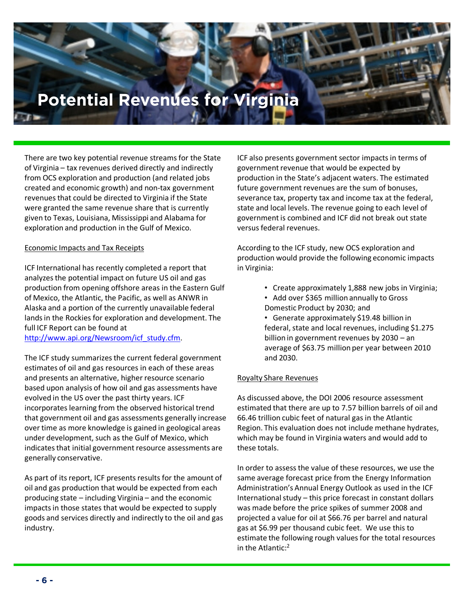# **Potential Revenues for Virginia**

**Introduction**

There are two key potential revenue streams for the State of Virginia – tax revenues derived directly and indirectly from OCS exploration and production (and related jobs created and economic growth) and non-tax government revenues that could be directed to Virginia if the State were granted the same revenue share that is currently given to Texas, Louisiana, Mississippi and Alabama for exploration and production in the Gulf of Mexico.

#### Economic Impacts and Tax Receipts

ICF International has recently completed a report that analyzes the potential impact on future US oil and gas production from opening offshore areas in the Eastern Gulf of Mexico, the Atlantic, the Pacific, as well as ANWR in Alaska and a portion of the currently unavailable federal lands in the Rockies for exploration and development. The full ICF Report can be found at http://www.api.org/Newsroom/icf\_study.cfm.

The ICF study summarizes the current federal government estimates of oil and gas resources in each of these areas and presents an alternative, higher resource scenario based upon analysis of how oil and gas assessments have evolved in the US over the past thirty years. ICF incorporates learning from the observed historical trend that government oil and gas assessments generally increase over time as more knowledge is gained in geological areas under development, such as the Gulf of Mexico, which indicates that initial government resource assessments are generally conservative.

As part of its report, ICF presents results for the amount of oil and gas production that would be expected from each producing state – including Virginia – and the economic impacts in those states that would be expected to supply goods and services directly and indirectly to the oil and gas industry.

ICF also presents government sector impacts in terms of government revenue that would be expected by production in the State's adjacent waters. The estimated future government revenues are the sum of bonuses, severance tax, property tax and income tax at the federal, state and local levels. The revenue going to each level of government is combined and ICF did not break out state versus federal revenues.

According to the ICF study, new OCS exploration and production would provide the following economic impacts in Virginia:

- Create approximately 1,888 new jobs in Virginia;
- Add over \$365 million annually to Gross Domestic Product by 2030; and
- Generate approximately \$19.48 billion in federal, state and local revenues, including \$1.275 billion in government revenues by 2030 – an average of \$63.75 million per year between 2010 and 2030.

#### Royalty Share Revenues

As discussed above, the DOI 2006 resource assessment estimated that there are up to 7.57 billion barrels of oil and 66.46 trillion cubic feet of natural gas in the Atlantic Region. This evaluation does not include methane hydrates, which may be found in Virginia waters and would add to these totals.

In order to assess the value of these resources, we use the same average forecast price from the Energy Information Administration's Annual Energy Outlook as used in the ICF International study – this price forecast in constant dollars was made before the price spikes of summer 2008 and projected a value for oil at \$66.76 per barrel and natural gas at \$6.99 per thousand cubic feet. We use this to estimate the following rough values for the total resources in the Atlantic:<sup>2</sup>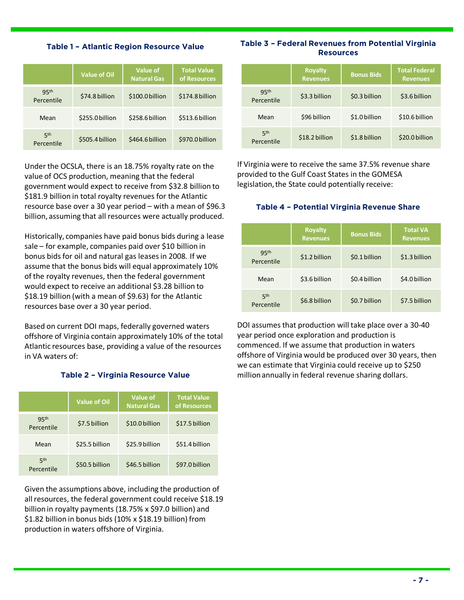#### **Table 1 – Atlantic Region Resource Value**

|                                | <b>Value of Oil</b> | Value of<br><b>Natural Gas</b> | <b>Total Value</b><br>of Resources |
|--------------------------------|---------------------|--------------------------------|------------------------------------|
| 95 <sup>th</sup><br>Percentile | \$74.8 billion      | \$100.0 billion                | \$174.8 billion                    |
| Mean                           | \$255.0 billion     | \$258.6 billion                | \$513.6 billion                    |
| 5 <sup>th</sup><br>Percentile  | \$505.4 billion     | \$464.6 billion                | \$970.0 billion                    |

Under the OCSLA, there is an 18.75% royalty rate on the value of OCS production, meaning that the federal government would expect to receive from \$32.8 billion to \$181.9 billion in total royalty revenues for the Atlantic resource base over a 30 year period – with a mean of \$96.3 billion, assuming that all resources were actually produced.

Historically, companies have paid bonus bids during a lease sale – for example, companies paid over \$10 billion in bonus bids for oil and natural gas leases in 2008. If we assume that the bonus bids will equal approximately 10% of the royalty revenues, then the federal government would expect to receive an additional \$3.28 billion to \$18.19 billion (with a mean of \$9.63) for the Atlantic resources base over a 30 year period.

Based on current DOI maps, federally governed waters offshore of Virginia contain approximately 10% of the total Atlantic resources base, providing a value of the resources in VA waters of:

#### **Table 2 – Virginia Resource Value**

|                                | <b>Value of Oil</b> | <b>Value of</b><br><b>Natural Gas</b> | <b>Total Value</b><br>of Resources |
|--------------------------------|---------------------|---------------------------------------|------------------------------------|
| 95 <sup>th</sup><br>Percentile | \$7.5 billion       | \$10.0 billion                        | \$17.5 billion                     |
| Mean                           | \$25.5 billion      | \$25.9 billion                        | \$51.4 billion                     |
| 5 <sup>th</sup><br>Percentile  | \$50.5 billion      | \$46.5 billion                        | \$97.0 billion                     |

Given the assumptions above, including the production of all resources, the federal government could receive \$18.19 billion in royalty payments (18.75% x \$97.0 billion) and \$1.82 billion in bonus bids (10% x \$18.19 billion) from production in waters offshore of Virginia.

#### **Table 3 – Federal Revenues from Potential Virginia Resources**

|                                | <b>Royalty</b><br><b>Revenues</b> | <b>Bonus Bids</b> | <b>Total Federal</b><br><b>Revenues</b> |
|--------------------------------|-----------------------------------|-------------------|-----------------------------------------|
| 95 <sup>th</sup><br>Percentile | \$3.3 billion                     | \$0.3 billion     | \$3.6 billion                           |
| Mean                           | \$96 billion                      | \$1.0 billion     | \$10.6 billion                          |
| 5 <sup>th</sup><br>Percentile  | \$18.2 billion                    | \$1.8 billion     | \$20.0 billion                          |

If Virginia were to receive the same 37.5% revenue share provided to the Gulf Coast States in the GOMESA legislation, the State could potentially receive:

#### **Table 4 – Potential Virginia Revenue Share**

|                                | <b>Royalty</b><br><b>Revenues</b> | <b>Bonus Bids</b> | <b>Total VA</b><br><b>Revenues</b> |
|--------------------------------|-----------------------------------|-------------------|------------------------------------|
| 95 <sup>th</sup><br>Percentile | \$1.2 billion                     | \$0.1 billion     | \$1.3 billion                      |
| Mean                           | \$3.6 billion                     | \$0.4 billion     | \$4.0 billion                      |
| 5 <sup>th</sup><br>Percentile  | \$6.8 billion                     | \$0.7 billion     | \$7.5 billion                      |

DOI assumes that production will take place over a 30-40 year period once exploration and production is commenced. If we assume that production in waters offshore of Virginia would be produced over 30 years, then we can estimate that Virginia could receive up to \$250 million annually in federal revenue sharing dollars.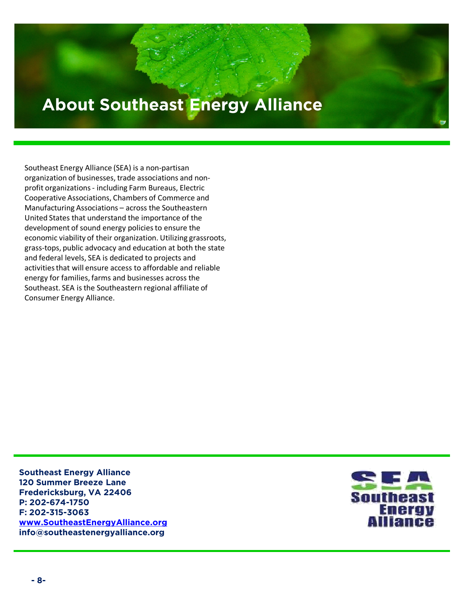## **About Southeast Energy Alliance**

**Introduction**

Southeast Energy Alliance (SEA) is a non-partisan organization of businesses, trade associations and nonprofit organizations - including Farm Bureaus, Electric Cooperative Associations, Chambers of Commerce and Manufacturing Associations – across the Southeastern United States that understand the importance of the development of sound energy policies to ensure the economic viability of their organization. Utilizing grassroots, grass-tops, public advocacy and education at both the state and federal levels, SEA is dedicated to projects and activities that will ensure access to affordable and reliable energy for families, farms and businesses across the Southeast. SEA is the Southeastern regional affiliate of Consumer Energy Alliance.

**Southeast Energy Alliance 120 Summer Breeze Lane Fredericksburg, VA 22406 P: 202-674-1750 F: 202-315-3063 www.SoutheastEnergyAlliance.org info@southeastenergyalliance.org**